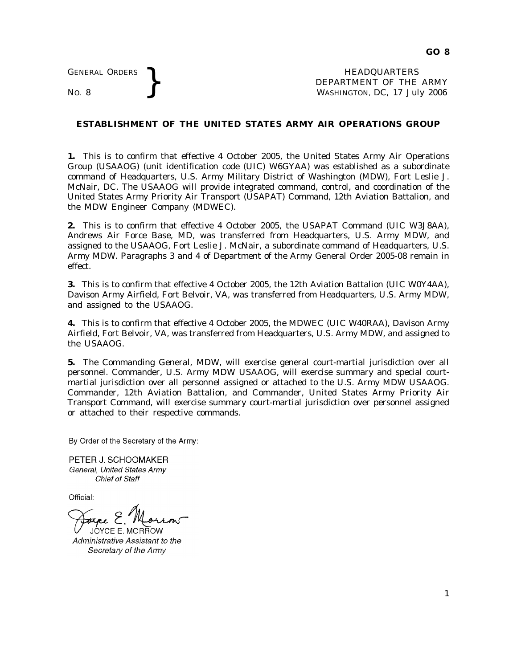GENERAL ORDERS <br>No. 8 <br>No. 8 <br>No. 8 <br>Nashington, DC, 17 Jul DEPARTMENT OF THE ARMY WASHINGTON, DC, *17 July 2006*

## **ESTABLISHMENT OF THE UNITED STATES ARMY AIR OPERATIONS GROUP**

**1.** This is to confirm that effective 4 October 2005, the United States Army Air Operations Group (USAAOG) (unit identification code (UIC) W6GYAA) was established as a subordinate command of Headquarters, U.S. Army Military District of Washington (MDW), Fort Leslie J. McNair, DC. The USAAOG will provide integrated command, control, and coordination of the United States Army Priority Air Transport (USAPAT) Command, 12th Aviation Battalion, and the MDW Engineer Company (MDWEC).

**2.** This is to confirm that effective 4 October 2005, the USAPAT Command (UIC W3J8AA), Andrews Air Force Base, MD, was transferred from Headquarters, U.S. Army MDW, and assigned to the USAAOG, Fort Leslie J. McNair, a subordinate command of Headquarters, U.S. Army MDW. Paragraphs 3 and 4 of Department of the Army General Order 2005-08 remain in effect.

**3.** This is to confirm that effective 4 October 2005, the 12th Aviation Battalion (UIC W0Y4AA), Davison Army Airfield, Fort Belvoir, VA, was transferred from Headquarters, U.S. Army MDW, and assigned to the USAAOG.

**4.** This is to confirm that effective 4 October 2005, the MDWEC (UIC W40RAA), Davison Army Airfield, Fort Belvoir, VA, was transferred from Headquarters, U.S. Army MDW, and assigned to the USAAOG.

**5.** The Commanding General, MDW, will exercise general court-martial jurisdiction over all personnel. Commander, U.S. Army MDW USAAOG, will exercise summary and special courtmartial jurisdiction over all personnel assigned or attached to the U.S. Army MDW USAAOG. Commander, 12th Aviation Battalion, and Commander, United States Army Priority Air Transport Command, will exercise summary court-martial jurisdiction over personnel assigned or attached to their respective commands.

By Order of the Secretary of the Army:

PETER J. SCHOOMAKER General, United States Army **Chief of Staff** 

Official:

 $\curvearrowright$  (

JOYCE E. MORROW Administrative Assistant to the Secretary of the Army